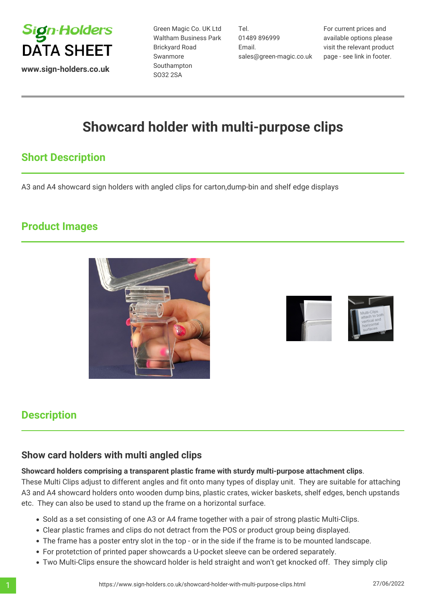

**www.sign-holders.co.uk**

Green Magic Co. UK Ltd Waltham Business Park Brickyard Road Swanmore Southampton SO32 2SA

Tel. 01489 896999 Email. sales@green-magic.co.uk For current prices and available options please visit the relevant product page - see link in footer.

# **Showcard holder with multi-purpose clips**

### **Short Description**

A3 and A4 showcard sign holders with angled clips for carton,dump-bin and shelf edge displays

#### **Product Images**





#### **Description**

#### **Show card holders with multi angled clips**

#### **Showcard holders comprising a transparent plastic frame with sturdy multi-purpose attachment clips**.

These Multi Clips adjust to different angles and fit onto many types of display unit. They are suitable for attaching A3 and A4 showcard holders onto wooden dump bins, plastic crates, wicker baskets, shelf edges, bench upstands etc. They can also be used to stand up the frame on a horizontal surface.

- Sold as a set consisting of one A3 or A4 frame together with a pair of strong plastic Multi-Clips.
- Clear plastic frames and clips do not detract from the POS or product group being displayed.
- The frame has a poster entry slot in the top or in the side if the frame is to be mounted landscape.
- For protetction of printed paper showcards a U-pocket sleeve can be ordered separately.
- Two Multi-Clips ensure the showcard holder is held straight and won't get knocked off. They simply clip